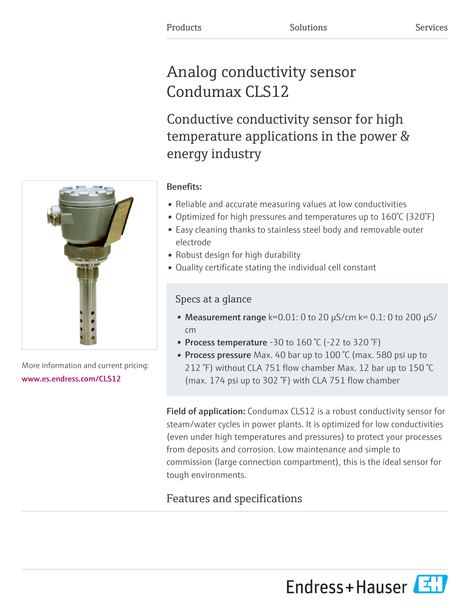# Analog conductivity sensor Condumax CLS12

Conductive conductivity sensor for high temperature applications in the power & energy industry

# Benefits:

- Reliable and accurate measuring values at low conductivities
- Optimized for high pressures and temperatures up to 160°C (320°F)
- Easy cleaning thanks to stainless steel body and removable outer electrode
- Robust design for high durability
- Quality certificate stating the individual cell constant

# Specs at a glance

- Measurement range  $k=0.01$ : 0 to 20  $\mu$ S/cm  $k=0.1$ : 0 to 200  $\mu$ S/ cm
- Process temperature -30 to  $160\text{ °C}$  (-22 to 320  $\text{°F}$ )
- Process pressure Max. 40 bar up to 100 °C (max. 580 psi up to 212 °F) without CLA 751 flow chamber Max. 12 bar up to 150 °C (max. 174 psi up to 302 °F) with CLA 751 flow chamber

Field of application: Condumax CLS12 is a robust conductivity sensor for steam/water cycles in power plants. It is optimized for low conductivities (even under high temperatures and pressures) to protect your processes from deposits and corrosion. Low maintenance and simple to commission (large connection compartment), this is the ideal sensor for tough environments.

# Features and specifications

More information and current pricing: [www.es.endress.com/CLS12](https://www.es.endress.com/CLS12)



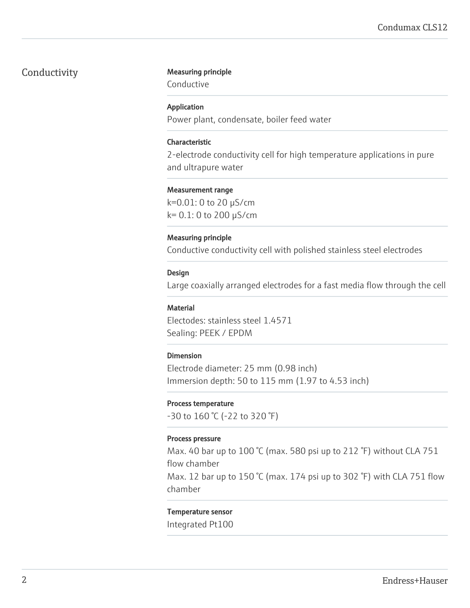#### Conductivity Measuring principle

Conductive

#### Application

Power plant, condensate, boiler feed water

#### Characteristic

2-electrode conductivity cell for high temperature applications in pure and ultrapure water

#### Measurement range

k=0.01: 0 to 20 µS/cm k= 0.1: 0 to 200 µS/cm

#### Measuring principle

Conductive conductivity cell with polished stainless steel electrodes

#### Design

Large coaxially arranged electrodes for a fast media flow through the cell

#### **Material**

Electodes: stainless steel 1.4571 Sealing: PEEK / EPDM

#### Dimension

Electrode diameter: 25 mm (0.98 inch) Immersion depth: 50 to 115 mm (1.97 to 4.53 inch)

#### Process temperature

-30 to 160 °C (-22 to 320 °F)

#### Process pressure

Max. 40 bar up to 100 °C (max. 580 psi up to 212 °F) without CLA 751 flow chamber

Max. 12 bar up to 150 °C (max. 174 psi up to 302 °F) with CLA 751 flow chamber

#### Temperature sensor

Integrated Pt100